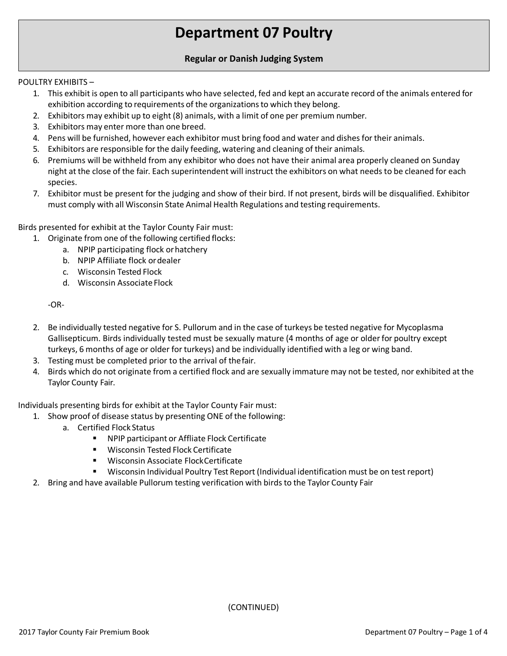# **Department 07 Poultry**

## **Regular or Danish Judging System**

### POULTRY EXHIBITS –

- 1. This exhibit is open to all participants who have selected, fed and kept an accurate record of the animals entered for exhibition according to requirements of the organizations to which they belong.
- 2. Exhibitors may exhibit up to eight (8) animals, with a limit of one per premium number.
- 3. Exhibitors may enter more than one breed.
- 4. Pens will be furnished, however each exhibitor must bring food and water and dishesfor their animals.
- 5. Exhibitors are responsible forthe daily feeding, watering and cleaning of their animals.
- 6. Premiums will be withheld from any exhibitor who does not have their animal area properly cleaned on Sunday night at the close of the fair. Each superintendent will instruct the exhibitors on what needsto be cleaned for each species.
- 7. Exhibitor must be present for the judging and show of their bird. If not present, birds will be disqualified. Exhibitor must comply with all Wisconsin State Animal Health Regulations and testing requirements.

Birds presented for exhibit at the Taylor County Fair must:

- 1. Originate from one of the following certified flocks:
	- a. NPIP participating flock orhatchery
	- b. NPIP Affiliate flock ordealer
	- c. Wisconsin Tested Flock
	- d. Wisconsin Associate Flock

-OR-

- 2. Be individually tested negative for S. Pullorum and in the case of turkeys be tested negative for Mycoplasma Gallisepticum. Birds individually tested must be sexually mature (4 months of age or older for poultry except turkeys, 6 months of age or older for turkeys) and be individually identified with a leg or wing band.
- 3. Testing must be completed prior to the arrival of thefair.
- 4. Birds which do not originate from a certified flock and are sexually immature may not be tested, nor exhibited at the Taylor County Fair.

Individuals presenting birds for exhibit at the Taylor County Fair must:

- 1. Show proof of disease status by presenting ONE of the following:
	- a. Certified Flock Status
		- **NPIP participant or Affliate Flock Certificate**
		- **Wisconsin Tested Flock Certificate**
		- **Wisconsin Associate FlockCertificate**
		- Wisconsin Individual Poultry Test Report (Individual identification must be on test report)
- 2. Bring and have available Pullorum testing verification with birds to the Taylor County Fair

(CONTINUED)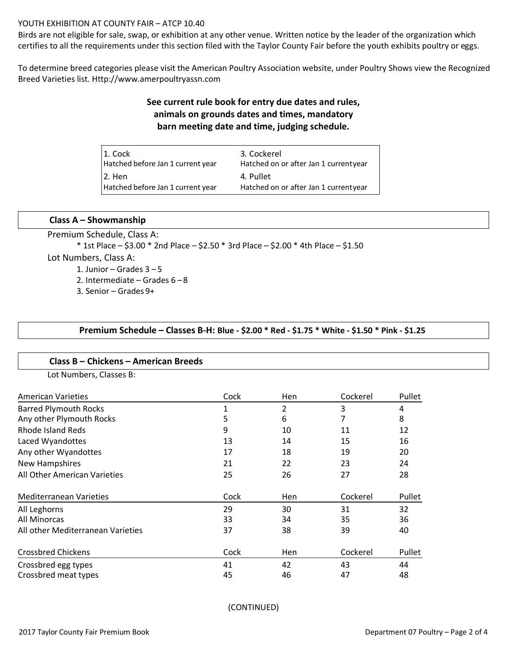### YOUTH EXHIBITION AT COUNTY FAIR – ATCP 10.40

Birds are not eligible for sale, swap, or exhibition at any other venue. Written notice by the leader of the organization which certifies to all the requirements under this section filed with the Taylor County Fair before the youth exhibits poultry or eggs.

To determine breed categories please visit the American Poultry Association website, under Poultry Shows view the Recognized Breed Varieties list. Http://www.amerpoultryassn.com

# **See current rule book for entry due dates and rules, animals on grounds dates and times, mandatory barn meeting date and time, judging schedule.**

| 1. Cock                           | 3. Cockerel                           |
|-----------------------------------|---------------------------------------|
| Hatched before Jan 1 current year | Hatched on or after Jan 1 currentyear |
| 2. Hen                            | 4. Pullet                             |
| Hatched before Jan 1 current year | Hatched on or after Jan 1 currentyear |

### **Class A – Showmanship**

Premium Schedule, Class A: \* 1st Place – \$3.00 \* 2nd Place – \$2.50 \* 3rd Place – \$2.00 \* 4th Place – \$1.50 Lot Numbers, Class A: 1. Junior – Grades  $3 - 5$ 2. Intermediate – Grades 6 –8 3. Senior – Grades 9+

### **Premium Schedule – Classes B-H: Blue - \$2.00 \* Red - \$1.75 \* White - \$1.50 \* Pink - \$1.25**

#### **Class B – Chickens – American Breeds**

Lot Numbers, Classes B:

| <b>American Varieties</b>         | Cock | Hen | Cockerel | Pullet |
|-----------------------------------|------|-----|----------|--------|
| <b>Barred Plymouth Rocks</b>      | 1    | 2   | 3        | 4      |
| Any other Plymouth Rocks          | 5    | 6   | 7        | 8      |
| Rhode Island Reds                 | 9    | 10  | 11       | 12     |
| Laced Wyandottes                  | 13   | 14  | 15       | 16     |
| Any other Wyandottes              | 17   | 18  | 19       | 20     |
| <b>New Hampshires</b>             | 21   | 22  | 23       | 24     |
| All Other American Varieties      | 25   | 26  | 27       | 28     |
| <b>Mediterranean Varieties</b>    | Cock | Hen | Cockerel | Pullet |
| All Leghorns                      | 29   | 30  | 31       | 32     |
| All Minorcas                      | 33   | 34  | 35       | 36     |
| All other Mediterranean Varieties | 37   | 38  | 39       | 40     |
| <b>Crossbred Chickens</b>         | Cock | Hen | Cockerel | Pullet |
| Crossbred egg types               | 41   | 42  | 43       | 44     |
| Crossbred meat types              | 45   | 46  | 47       | 48     |

(CONTINUED)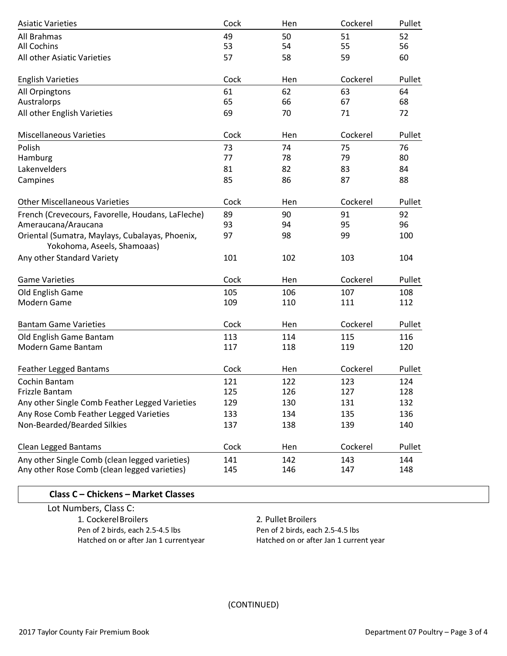| <b>Asiatic Varieties</b>                                                       | Cock | Hen | Cockerel | Pullet |
|--------------------------------------------------------------------------------|------|-----|----------|--------|
| All Brahmas                                                                    | 49   | 50  | 51       | 52     |
| <b>All Cochins</b>                                                             | 53   | 54  | 55       | 56     |
| All other Asiatic Varieties                                                    | 57   | 58  | 59       | 60     |
| <b>English Varieties</b>                                                       | Cock | Hen | Cockerel | Pullet |
| All Orpingtons                                                                 | 61   | 62  | 63       | 64     |
| Australorps                                                                    | 65   | 66  | 67       | 68     |
| All other English Varieties                                                    | 69   | 70  | 71       | 72     |
| <b>Miscellaneous Varieties</b>                                                 | Cock | Hen | Cockerel | Pullet |
| Polish                                                                         | 73   | 74  | 75       | 76     |
| Hamburg                                                                        | 77   | 78  | 79       | 80     |
| Lakenvelders                                                                   | 81   | 82  | 83       | 84     |
| Campines                                                                       | 85   | 86  | 87       | 88     |
| <b>Other Miscellaneous Varieties</b>                                           | Cock | Hen | Cockerel | Pullet |
| French (Crevecours, Favorelle, Houdans, LaFleche)                              | 89   | 90  | 91       | 92     |
| Ameraucana/Araucana                                                            | 93   | 94  | 95       | 96     |
| Oriental (Sumatra, Maylays, Cubalayas, Phoenix,<br>Yokohoma, Aseels, Shamoaas) | 97   | 98  | 99       | 100    |
| Any other Standard Variety                                                     | 101  | 102 | 103      | 104    |
| <b>Game Varieties</b>                                                          | Cock | Hen | Cockerel | Pullet |
| Old English Game                                                               | 105  | 106 | 107      | 108    |
| Modern Game                                                                    | 109  | 110 | 111      | 112    |
| <b>Bantam Game Varieties</b>                                                   | Cock | Hen | Cockerel | Pullet |
| Old English Game Bantam                                                        | 113  | 114 | 115      | 116    |
| Modern Game Bantam                                                             | 117  | 118 | 119      | 120    |
| <b>Feather Legged Bantams</b>                                                  | Cock | Hen | Cockerel | Pullet |
| Cochin Bantam                                                                  | 121  | 122 | 123      | 124    |
| Frizzle Bantam                                                                 | 125  | 126 | 127      | 128    |
| Any other Single Comb Feather Legged Varieties                                 | 129  | 130 | 131      | 132    |
| Any Rose Comb Feather Legged Varieties                                         | 133  | 134 | 135      | 136    |
| Non-Bearded/Bearded Silkies                                                    | 137  | 138 | 139      | 140    |
| Clean Legged Bantams                                                           | Cock | Hen | Cockerel | Pullet |
| Any other Single Comb (clean legged varieties)                                 | 141  | 142 | 143      | 144    |
| Any other Rose Comb (clean legged varieties)                                   | 145  | 146 | 147      | 148    |

# **Class C – Chickens – Market Classes**

Lot Numbers, Class C: 1. CockerelBroilers Pen of 2 birds, each 2.5-4.5 lbs Hatched on or after Jan 1 currentyear

2. Pullet Broilers Pen of 2 birds, each 2.5-4.5 lbs Hatched on or after Jan 1 current year

(CONTINUED)